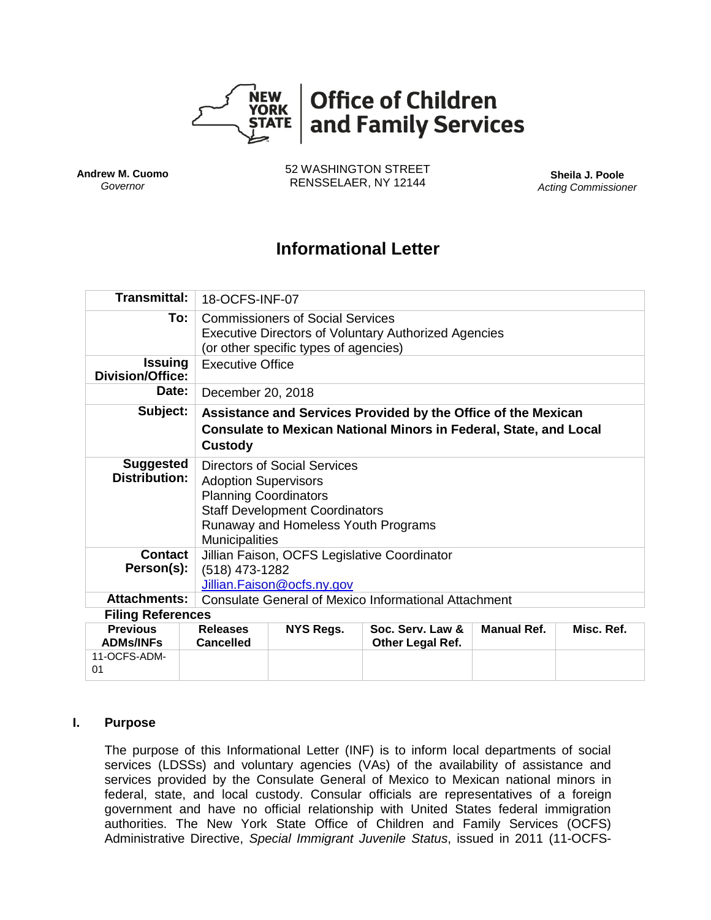

**Andrew M. Cuomo** *Governor*

52 WASHINGTON STREET RENSSELAER, NY 12144 **Sheila J. Poole**

*Acting Commissioner*

# **Informational Letter**

| <b>Transmittal:</b>                                       |                                     | 18-OCFS-INF-07                                                                                                                                                                                              |                                      |                    |            |  |
|-----------------------------------------------------------|-------------------------------------|-------------------------------------------------------------------------------------------------------------------------------------------------------------------------------------------------------------|--------------------------------------|--------------------|------------|--|
|                                                           | To:                                 | <b>Commissioners of Social Services</b><br><b>Executive Directors of Voluntary Authorized Agencies</b>                                                                                                      |                                      |                    |            |  |
|                                                           |                                     | (or other specific types of agencies)                                                                                                                                                                       |                                      |                    |            |  |
| <b>Issuing</b><br><b>Division/Office:</b>                 |                                     | <b>Executive Office</b>                                                                                                                                                                                     |                                      |                    |            |  |
| Date:                                                     |                                     | December 20, 2018                                                                                                                                                                                           |                                      |                    |            |  |
| Subject:                                                  | Custody                             | Assistance and Services Provided by the Office of the Mexican<br><b>Consulate to Mexican National Minors in Federal, State, and Local</b>                                                                   |                                      |                    |            |  |
| <b>Suggested</b><br><b>Distribution:</b>                  |                                     | <b>Directors of Social Services</b><br><b>Adoption Supervisors</b><br><b>Planning Coordinators</b><br><b>Staff Development Coordinators</b><br>Runaway and Homeless Youth Programs<br><b>Municipalities</b> |                                      |                    |            |  |
| Contact                                                   |                                     | Jillian Faison, OCFS Legislative Coordinator                                                                                                                                                                |                                      |                    |            |  |
| Person(s):                                                | (518) 473-1282                      |                                                                                                                                                                                                             |                                      |                    |            |  |
|                                                           |                                     | Jillian.Faison@ocfs.ny.gov                                                                                                                                                                                  |                                      |                    |            |  |
| <b>Attachments:</b>                                       |                                     | <b>Consulate General of Mexico Informational Attachment</b>                                                                                                                                                 |                                      |                    |            |  |
| <b>Filing References</b>                                  |                                     |                                                                                                                                                                                                             |                                      |                    |            |  |
| <b>Previous</b><br><b>ADMs/INFs</b><br>11-OCFS-ADM-<br>01 | <b>Releases</b><br><b>Cancelled</b> | NYS Regs.                                                                                                                                                                                                   | Soc. Serv. Law &<br>Other Legal Ref. | <b>Manual Ref.</b> | Misc. Ref. |  |

#### **I. Purpose**

The purpose of this Informational Letter (INF) is to inform local departments of social services (LDSSs) and voluntary agencies (VAs) of the availability of assistance and services provided by the Consulate General of Mexico to Mexican national minors in federal, state, and local custody. Consular officials are representatives of a foreign government and have no official relationship with United States federal immigration authorities. The New York State Office of Children and Family Services (OCFS) Administrative Directive, *Special Immigrant Juvenile Status*, issued in 2011 (11-OCFS-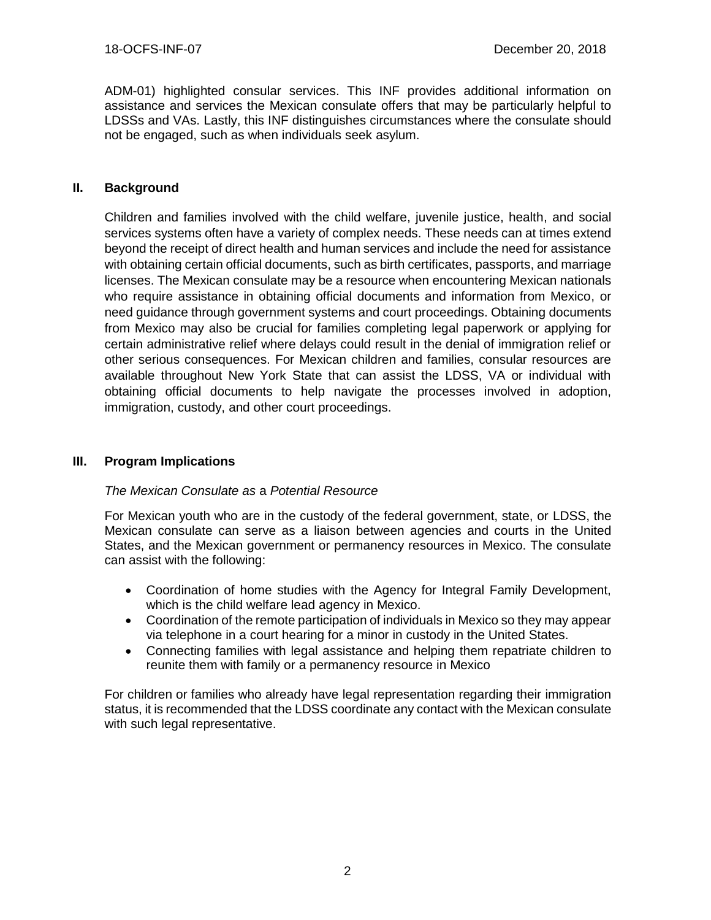ADM-01) highlighted consular services. This INF provides additional information on assistance and services the Mexican consulate offers that may be particularly helpful to LDSSs and VAs. Lastly, this INF distinguishes circumstances where the consulate should not be engaged, such as when individuals seek asylum.

## **II. Background**

Children and families involved with the child welfare, juvenile justice, health, and social services systems often have a variety of complex needs. These needs can at times extend beyond the receipt of direct health and human services and include the need for assistance with obtaining certain official documents, such as birth certificates, passports, and marriage licenses. The Mexican consulate may be a resource when encountering Mexican nationals who require assistance in obtaining official documents and information from Mexico, or need guidance through government systems and court proceedings. Obtaining documents from Mexico may also be crucial for families completing legal paperwork or applying for certain administrative relief where delays could result in the denial of immigration relief or other serious consequences. For Mexican children and families, consular resources are available throughout New York State that can assist the LDSS, VA or individual with obtaining official documents to help navigate the processes involved in adoption, immigration, custody, and other court proceedings.

#### **III. Program Implications**

#### *The Mexican Consulate as* a *Potential Resource*

For Mexican youth who are in the custody of the federal government, state, or LDSS, the Mexican consulate can serve as a liaison between agencies and courts in the United States, and the Mexican government or permanency resources in Mexico. The consulate can assist with the following:

- Coordination of home studies with the Agency for Integral Family Development, which is the child welfare lead agency in Mexico.
- Coordination of the remote participation of individuals in Mexico so they may appear via telephone in a court hearing for a minor in custody in the United States.
- Connecting families with legal assistance and helping them repatriate children to reunite them with family or a permanency resource in Mexico

For children or families who already have legal representation regarding their immigration status, it is recommended that the LDSS coordinate any contact with the Mexican consulate with such legal representative.